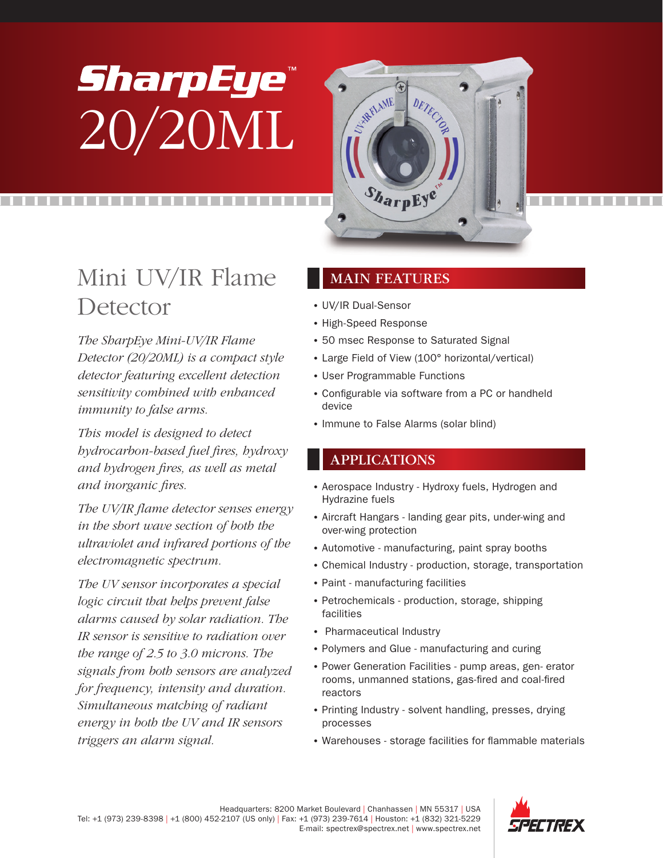# *SharpEye®* 20/20ML



## Mini UV/IR Flame **Detector**

*The SharpEye Mini-UV/IR Flame Detector (20/20ML) is a compact style detector featuring excellent detection sensitivity combined with enhanced immunity to false arms.*

*This model is designed to detect hydrocarbon-based fuel fires, hydroxy and hydrogen fires, as well as metal and inorganic fires.*

*The UV/IR flame detector senses energy in the short wave section of both the ultraviolet and infrared portions of the electromagnetic spectrum.* 

*The UV sensor incorporates a special logic circuit that helps prevent false alarms caused by solar radiation. The IR sensor is sensitive to radiation over the range of 2.5 to 3.0 microns. The signals from both sensors are analyzed for frequency, intensity and duration. Simultaneous matching of radiant energy in both the UV and IR sensors triggers an alarm signal.*

#### MAIN FEATURES

- UV/IR Dual-Sensor
- High-Speed Response
- 50 msec Response to Saturated Signal
- Large Field of View (100° horizontal/vertical)
- User Programmable Functions
- Configurable via software from a PC or handheld device
- Immune to False Alarms (solar blind)

#### APPLICATIONS

- Aerospace Industry Hydroxy fuels, Hydrogen and Hydrazine fuels
- Aircraft Hangars landing gear pits, under-wing and over-wing protection
- Automotive manufacturing, paint spray booths
- Chemical Industry production, storage, transportation
- Paint manufacturing facilities
- Petrochemicals production, storage, shipping facilities
- Pharmaceutical Industry
- Polymers and Glue manufacturing and curing
- Power Generation Facilities pump areas, gen- erator rooms, unmanned stations, gas-fired and coal-fired reactors
- Printing Industry solvent handling, presses, drying processes
- Warehouses storage facilities for flammable materials